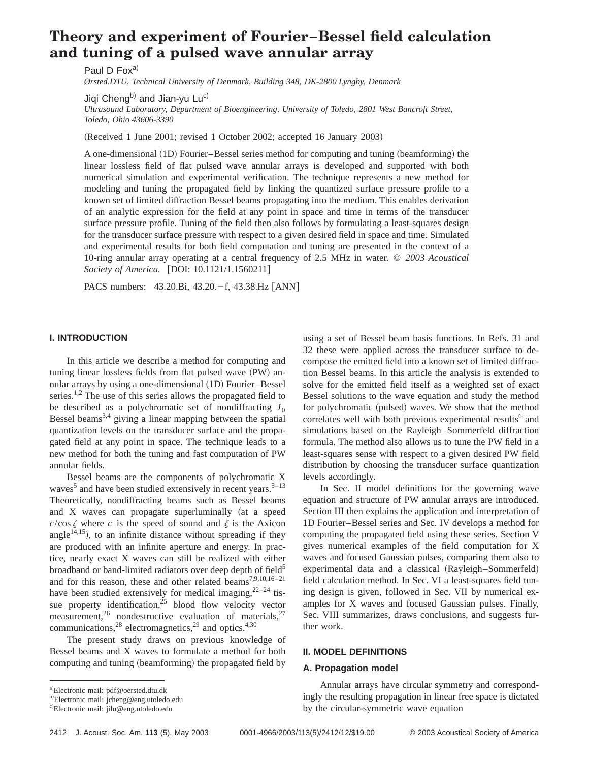# **Theory and experiment of Fourier–Bessel field calculation and tuning of a pulsed wave annular array**

Paul D Fox<sup>a)</sup>

*Ørsted.DTU, Technical University of Denmark, Building 348, DK-2800 Lyngby, Denmark*

Jiqi Cheng<sup>b)</sup> and Jian-yu Lu<sup>c)</sup>

*Ultrasound Laboratory, Department of Bioengineering, University of Toledo, 2801 West Bancroft Street, Toledo, Ohio 43606-3390*

(Received 1 June 2001; revised 1 October 2002; accepted 16 January 2003)

A one-dimensional (1D) Fourier–Bessel series method for computing and tuning (beamforming) the linear lossless field of flat pulsed wave annular arrays is developed and supported with both numerical simulation and experimental verification. The technique represents a new method for modeling and tuning the propagated field by linking the quantized surface pressure profile to a known set of limited diffraction Bessel beams propagating into the medium. This enables derivation of an analytic expression for the field at any point in space and time in terms of the transducer surface pressure profile. Tuning of the field then also follows by formulating a least-squares design for the transducer surface pressure with respect to a given desired field in space and time. Simulated and experimental results for both field computation and tuning are presented in the context of a 10-ring annular array operating at a central frequency of 2.5 MHz in water. © *2003 Acoustical Society of America.* [DOI: 10.1121/1.1560211]

PACS numbers:  $43.20.Bi, 43.20.-f, 43.38.Hz [ANN]$ 

#### **I. INTRODUCTION**

In this article we describe a method for computing and tuning linear lossless fields from flat pulsed wave (PW) annular arrays by using a one-dimensional (1D) Fourier–Bessel series.<sup>1,2</sup> The use of this series allows the propagated field to be described as a polychromatic set of nondiffracting  $J_0$ Bessel beams<sup>3,4</sup> giving a linear mapping between the spatial quantization levels on the transducer surface and the propagated field at any point in space. The technique leads to a new method for both the tuning and fast computation of PW annular fields.

Bessel beams are the components of polychromatic X waves<sup>5</sup> and have been studied extensively in recent years.<sup>5–13</sup> Theoretically, nondiffracting beams such as Bessel beams and  $X$  waves can propagate superluminally (at a speed  $c/\cos \zeta$  where *c* is the speed of sound and  $\zeta$  is the Axicon angle<sup>14,15</sup>), to an infinite distance without spreading if they are produced with an infinite aperture and energy. In practice, nearly exact X waves can still be realized with either broadband or band-limited radiators over deep depth of field<sup>5</sup> and for this reason, these and other related  $\overline{beams}^{7,9,10,16-21}$ have been studied extensively for medical imaging,  $2^{2-24}$  tissue property identification,<sup>25</sup> blood flow velocity vector measurement,<sup>26</sup> nondestructive evaluation of materials,<sup>27</sup> communications, $^{28}$  electromagnetics, $^{29}$  and optics.<sup>4,30</sup>

The present study draws on previous knowledge of Bessel beams and X waves to formulate a method for both computing and tuning (beamforming) the propagated field by using a set of Bessel beam basis functions. In Refs. 31 and 32 these were applied across the transducer surface to decompose the emitted field into a known set of limited diffraction Bessel beams. In this article the analysis is extended to solve for the emitted field itself as a weighted set of exact Bessel solutions to the wave equation and study the method for polychromatic (pulsed) waves. We show that the method correlates well with both previous experimental results<sup>6</sup> and simulations based on the Rayleigh–Sommerfeld diffraction formula. The method also allows us to tune the PW field in a least-squares sense with respect to a given desired PW field distribution by choosing the transducer surface quantization levels accordingly.

In Sec. II model definitions for the governing wave equation and structure of PW annular arrays are introduced. Section III then explains the application and interpretation of 1D Fourier–Bessel series and Sec. IV develops a method for computing the propagated field using these series. Section V gives numerical examples of the field computation for X waves and focused Gaussian pulses, comparing them also to experimental data and a classical (Rayleigh–Sommerfeld) field calculation method. In Sec. VI a least-squares field tuning design is given, followed in Sec. VII by numerical examples for X waves and focused Gaussian pulses. Finally, Sec. VIII summarizes, draws conclusions, and suggests further work.

#### **II. MODEL DEFINITIONS**

#### **A. Propagation model**

Annular arrays have circular symmetry and correspondingly the resulting propagation in linear free space is dictated by the circular-symmetric wave equation

a)Electronic mail: pdf@oersted.dtu.dk

<sup>&</sup>lt;sup>b)</sup>Electronic mail: jcheng@eng.utoledo.edu

c)Electronic mail: jilu@eng.utoledo.edu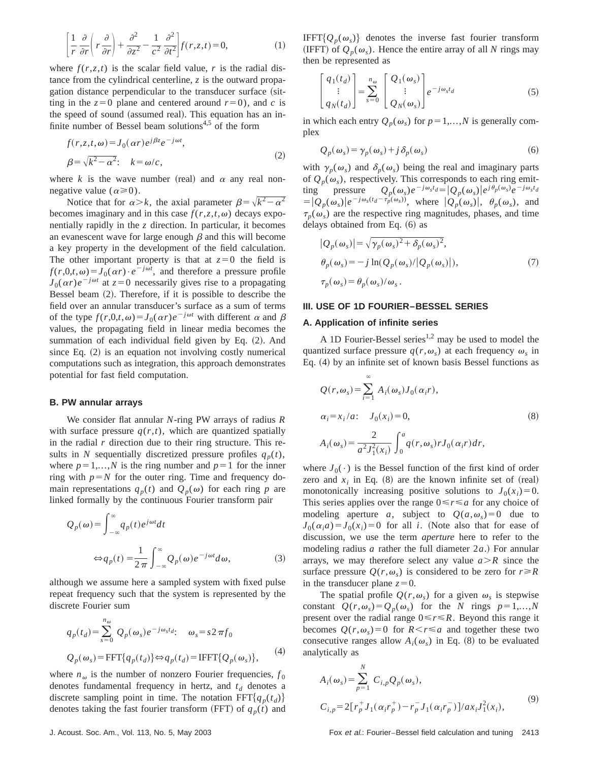$$
\left[\frac{1}{r}\frac{\partial}{\partial r}\left(r\frac{\partial}{\partial r}\right) + \frac{\partial^2}{\partial z^2} - \frac{1}{c^2}\frac{\partial^2}{\partial t^2}\right]f(r,z,t) = 0,\tag{1}
$$

where  $f(r, z, t)$  is the scalar field value, *r* is the radial distance from the cylindrical centerline, *z* is the outward propagation distance perpendicular to the transducer surface (sitting in the  $z=0$  plane and centered around  $r=0$ ), and *c* is the speed of sound (assumed real). This equation has an infinite number of Bessel beam solutions<sup>4,5</sup> of the form

$$
f(r, z, t, \omega) = J_0(\alpha r) e^{j\beta z} e^{-j\omega t},
$$
  
\n
$$
\beta = \sqrt{k^2 - \alpha^2}; \quad k = \omega/c,
$$
\n(2)

where  $k$  is the wave number (real) and  $\alpha$  any real nonnegative value ( $\alpha \ge 0$ ).

Notice that for  $\alpha > k$ , the axial parameter  $\beta = \sqrt{k^2 - \alpha^2}$ becomes imaginary and in this case  $f(r, z, t, \omega)$  decays exponentially rapidly in the *z* direction. In particular, it becomes an evanescent wave for large enough  $\beta$  and this will become a key property in the development of the field calculation. The other important property is that at  $z=0$  the field is  $f(r,0,t,\omega) = J_0(\alpha r) \cdot e^{-j\omega t}$ , and therefore a pressure profile  $J_0(\alpha r)e^{-j\omega t}$  at  $z=0$  necessarily gives rise to a propagating Bessel beam  $(2)$ . Therefore, if it is possible to describe the field over an annular transducer's surface as a sum of terms of the type  $f(r,0,t,\omega) = J_0(\alpha r)e^{-j\omega t}$  with different  $\alpha$  and  $\beta$ values, the propagating field in linear media becomes the summation of each individual field given by Eq.  $(2)$ . And since Eq.  $(2)$  is an equation not involving costly numerical computations such as integration, this approach demonstrates potential for fast field computation.

#### **B. PW annular arrays**

We consider flat annular *N*-ring PW arrays of radius *R* with surface pressure  $q(r,t)$ , which are quantized spatially in the radial *r* direction due to their ring structure. This results in *N* sequentially discretized pressure profiles  $q_p(t)$ , where  $p=1,...,N$  is the ring number and  $p=1$  for the inner ring with  $p=N$  for the outer ring. Time and frequency domain representations  $q_p(t)$  and  $Q_p(\omega)$  for each ring p are linked formally by the continuous Fourier transform pair

$$
Q_p(\omega) = \int_{-\infty}^{\infty} q_p(t) e^{j\omega t} dt
$$
  

$$
\Leftrightarrow q_p(t) = \frac{1}{2\pi} \int_{-\infty}^{\infty} Q_p(\omega) e^{-j\omega t} d\omega,
$$
 (3)

although we assume here a sampled system with fixed pulse repeat frequency such that the system is represented by the discrete Fourier sum

$$
q_p(t_d) = \sum_{s=0}^{n_{\omega}} Q_p(\omega_s) e^{-j\omega_s t_d}; \quad \omega_s = s2 \pi f_0
$$
  

$$
Q_p(\omega_s) = \text{FFT}\{q_p(t_d)\} \Leftrightarrow q_p(t_d) = \text{IFFT}\{Q_p(\omega_s)\},
$$
 (4)

where  $n_{\omega}$  is the number of nonzero Fourier frequencies,  $f_0$ denotes fundamental frequency in hertz, and  $t_d$  denotes a discrete sampling point in time. The notation  $FFT{q_p(t_d)}$ denotes taking the fast fourier transform (FFT) of  $q_p(t)$  and IFFT $\{Q_p(\omega_s)\}\$  denotes the inverse fast fourier transform (IFFT) of  $Q_p(\omega_s)$ . Hence the entire array of all *N* rings may then be represented as

$$
\begin{bmatrix} q_1(t_d) \\ \vdots \\ q_N(t_d) \end{bmatrix} = \sum_{s=0}^{n_{\omega}} \begin{bmatrix} Q_1(\omega_s) \\ \vdots \\ Q_N(\omega_s) \end{bmatrix} e^{-j\omega_s t_d} \tag{5}
$$

in which each entry  $Q_p(\omega_s)$  for  $p=1,...,N$  is generally complex

$$
Q_p(\omega_s) = \gamma_p(\omega_s) + j\delta_p(\omega_s)
$$
 (6)

with  $\gamma_p(\omega_s)$  and  $\delta_p(\omega_s)$  being the real and imaginary parts of  $Q_p(\omega_s)$ , respectively. This corresponds to each ring emit-<br>ting pressure  $Q_p(\omega_s)e^{-j\omega_s t_d} = |Q_p(\omega_s)|e^{j\theta_p(\omega_s)}e^{-j\omega_s t_d}$ ting pressure  $Q_p(\omega_s)e^{-j\omega_s t_d} = |Q_p(\omega_s)|e^{j\theta_p(\omega_s)}e^{-j\omega_s t_d}$  $= |Q_p(\omega_s)|e^{-j\omega_s(t_d - \tau_p(\omega_s))}$ , where  $|Q_p(\omega_s)|$ ,  $\theta_p(\omega_s)$ , and  $\tau_p(\omega_s)$  are the respective ring magnitudes, phases, and time delays obtained from Eq.  $(6)$  as

$$
|Q_p(\omega_s)| = \sqrt{\gamma_p(\omega_s)^2 + \delta_p(\omega_s)^2},
$$
  
\n
$$
\theta_p(\omega_s) = -j \ln(Q_p(\omega_s)/|Q_p(\omega_s)|),
$$
  
\n
$$
\tau_p(\omega_s) = \theta_p(\omega_s)/\omega_s.
$$
\n(7)

#### **III. USE OF 1D FOURIER–BESSEL SERIES**

#### **A. Application of infinite series**

A 1D Fourier-Bessel series<sup>1,2</sup> may be used to model the quantized surface pressure  $q(r,\omega_s)$  at each frequency  $\omega_s$  in Eq.  $(4)$  by an infinite set of known basis Bessel functions as

$$
Q(r, \omega_s) = \sum_{i=1}^{\infty} A_i(\omega_s) J_0(\alpha_i r),
$$
  
\n
$$
\alpha_i = x_i/a: \quad J_0(x_i) = 0,
$$
  
\n
$$
A_i(\omega_s) = \frac{2}{a^2 J_1^2(x_i)} \int_0^a q(r, \omega_s) r J_0(\alpha_i r) dr,
$$
\n(8)

where  $J_0(\cdot)$  is the Bessel function of the first kind of order zero and  $x_i$  in Eq.  $(8)$  are the known infinite set of  $(real)$ monotonically increasing positive solutions to  $J_0(x_i)=0$ . This series applies over the range  $0 \le r \le a$  for any choice of modeling aperture *a*, subject to  $Q(a, \omega_s) = 0$  due to  $J_0(\alpha_i a) = J_0(x_i) = 0$  for all *i*. (Note also that for ease of discussion, we use the term *aperture* here to refer to the modeling radius  $a$  rather the full diameter  $2a$ .) For annular arrays, we may therefore select any value  $a > R$  since the surface pressure  $Q(r, \omega_s)$  is considered to be zero for  $r \ge R$ in the transducer plane  $z=0$ .

The spatial profile  $Q(r, \omega_s)$  for a given  $\omega_s$  is stepwise constant  $Q(r, \omega_s) = Q_p(\omega_s)$  for the *N* rings  $p=1,...,N$ present over the radial range  $0 \le r \le R$ . Beyond this range it becomes  $Q(r, \omega_s) = 0$  for  $R \le r \le a$  and together these two consecutive ranges allow  $A_i(\omega_s)$  in Eq. (8) to be evaluated analytically as

$$
A_i(\omega_s) = \sum_{p=1}^N C_{i,p} Q_p(\omega_s),
$$
  
\n
$$
C_{i,p} = 2[r_p^+ J_1(\alpha_i r_p^+) - r_p^- J_1(\alpha_i r_p^-)]/ax_i J_1^2(x_i),
$$
\n(9)

J. Acoust. Soc. Am., Vol. 113, No. 5, May 2003 Fox et al.: Fourier–Bessel field calculation and tuning 2413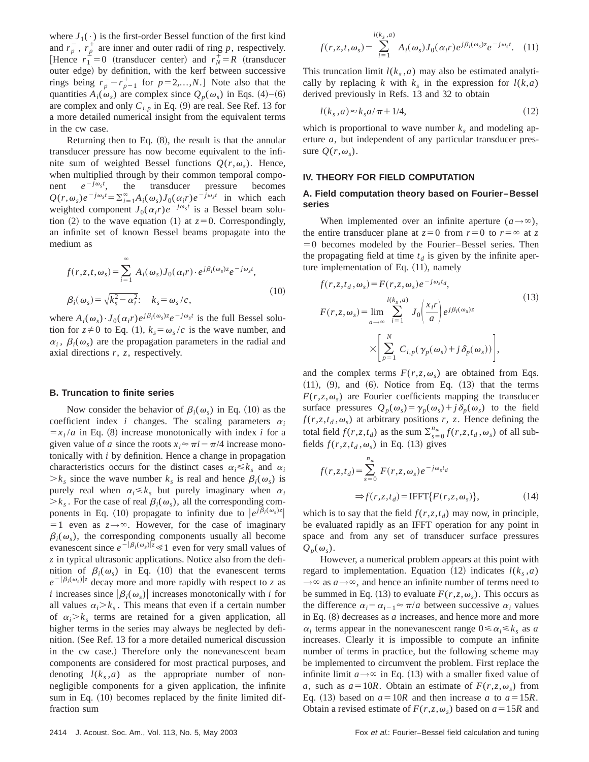where  $J_1(\cdot)$  is the first-order Bessel function of the first kind and  $r_p^{\dagger}$ ,  $r_p^{\dagger}$  are inner and outer radii of ring *p*, respectively. [Hence  $r_1^{\perp} = 0$  (transducer center) and  $r_N^{\perp} = R$  (transducer outer edge) by definition, with the kerf between successive rings being  $r_p^- - r_{p-1}^+$  for  $p=2,...,N$ .] Note also that the quantities  $A_i(\omega_s)$  are complex since  $Q_p(\omega_s)$  in Eqs. (4)–(6) are complex and only  $C_{i,p}$  in Eq. (9) are real. See Ref. 13 for a more detailed numerical insight from the equivalent terms in the cw case.

Returning then to Eq.  $(8)$ , the result is that the annular transducer pressure has now become equivalent to the infinite sum of weighted Bessel functions  $Q(r, \omega_s)$ . Hence, when multiplied through by their common temporal component  $e^{-j\omega_s t}$ , the transducer pressure becomes  $Q(r, \omega_s)e^{-j\omega_s t} = \sum_{i=1}^{\infty} A_i(\omega_s)J_0(\alpha_i r)e^{-j\omega_s t}$  in which each weighted component  $J_0(\alpha_i r) e^{-j\omega_s t}$  is a Bessel beam solution  $(2)$  to the wave equation  $(1)$  at  $z=0$ . Correspondingly, an infinite set of known Bessel beams propagate into the medium as

$$
f(r, z, t, \omega_s) = \sum_{i=1}^{\infty} A_i(\omega_s) J_0(\alpha_i r) \cdot e^{j\beta_i(\omega_s)z} e^{-j\omega_s t},
$$
  

$$
\beta_i(\omega_s) = \sqrt{k_s^2 - \alpha_i^2}; \quad k_s = \omega_s/c,
$$
 (10)

where  $A_i(\omega_s) \cdot J_0(\alpha_i r) e^{j\beta_i(\omega_s)z} e^{-j\omega_s t}$  is the full Bessel solution for  $z\neq0$  to Eq. (1),  $k_s = \omega_s/c$  is the wave number, and  $\alpha_i$ ,  $\beta_i(\omega_s)$  are the propagation parameters in the radial and axial directions *r*, *z*, respectively.

#### **B. Truncation to finite series**

Now consider the behavior of  $\beta_i(\omega_s)$  in Eq. (10) as the coefficient index *i* changes. The scaling parameters  $\alpha_i$  $= x_i/a$  in Eq. (8) increase monotonically with index *i* for a given value of *a* since the roots  $x_i \approx \pi i - \pi/4$  increase monotonically with *i* by definition. Hence a change in propagation characteristics occurs for the distinct cases  $\alpha_i \leq k_s$  and  $\alpha_i$  $\geq k_s$  since the wave number  $k_s$  is real and hence  $\beta_i(\omega_s)$  is purely real when  $\alpha_i \leq k_s$  but purely imaginary when  $\alpha_i$  $\geq k_s$ . For the case of real  $\beta_i(\omega_s)$ , all the corresponding components in Eq. (10) propagate to infinity due to  $|e^{j\beta_i(\omega_s)z}|$  $=1$  even as  $z \rightarrow \infty$ . However, for the case of imaginary  $\beta_i(\omega_s)$ , the corresponding components usually all become evanescent since  $e^{-|\beta_i(\omega_s)|z} \ll 1$  even for very small values of *z* in typical ultrasonic applications. Notice also from the definition of  $\beta_i(\omega_s)$  in Eq. (10) that the evanescent terms  $e^{-|\beta_i(\omega_s)|z}$  decay more and more rapidly with respect to *z* as *i* increases since  $|\beta_i(\omega_s)|$  increases monotonically with *i* for all values  $\alpha_i > k_s$ . This means that even if a certain number of  $\alpha_i > k_s$  terms are retained for a given application, all higher terms in the series may always be neglected by definition. (See Ref. 13 for a more detailed numerical discussion in the cw case.) Therefore only the nonevanescent beam components are considered for most practical purposes, and denoting  $l(k_s, a)$  as the appropriate number of nonnegligible components for a given application, the infinite sum in Eq.  $(10)$  becomes replaced by the finite limited diffraction sum

This truncation limit  $l(k<sub>s</sub>, a)$  may also be estimated analytically by replacing *k* with  $k_s$  in the expression for  $l(k,a)$ derived previously in Refs. 13 and 32 to obtain

$$
l(ks, a) \approx ks a/\pi + 1/4,
$$
\n(12)

which is proportional to wave number  $k_s$  and modeling aperture *a*, but independent of any particular transducer pressure  $Q(r, \omega_s)$ .

# **IV. THEORY FOR FIELD COMPUTATION**

#### **A. Field computation theory based on Fourier–Bessel series**

When implemented over an infinite aperture  $(a \rightarrow \infty)$ , the entire transducer plane at  $z=0$  from  $r=0$  to  $r=\infty$  at z  $=0$  becomes modeled by the Fourier–Bessel series. Then the propagating field at time  $t_d$  is given by the infinite aperture implementation of Eq. (11), namely

$$
f(r, z, t_d, \omega_s) = F(r, z, \omega_s) e^{-j\omega_s t_d},
$$
  
\n
$$
F(r, z, \omega_s) = \lim_{a \to \infty} \sum_{i=1}^{l(k_s, a)} J_0 \left( \frac{x_i r}{a} \right) e^{j\beta_i(\omega_s)z}
$$
  
\n
$$
\times \left[ \sum_{p=1}^N C_{i,p} (\gamma_p(\omega_s) + j \delta_p(\omega_s)) \right],
$$
\n(13)

and the complex terms  $F(r, z, \omega_s)$  are obtained from Eqs.  $(11)$ ,  $(9)$ , and  $(6)$ . Notice from Eq.  $(13)$  that the terms  $F(r, z, \omega_s)$  are Fourier coefficients mapping the transducer surface pressures  $Q_p(\omega_s) = \gamma_p(\omega_s) + j \delta_p(\omega_s)$  to the field  $f(r, z, t_d, \omega_s)$  at arbitrary positions *r*, *z*. Hence defining the total field  $f(r, z, t_d)$  as the sum  $\sum_{s=0}^{n_{\omega}} f(r, z, t_d, \omega_s)$  of all subfields  $f(r, z, t_d, \omega_s)$  in Eq. (13) gives

$$
f(r,z,t_d) = \sum_{s=0}^{n_{\omega}} F(r,z,\omega_s) e^{-j\omega_s t_d}
$$
  
\n
$$
\Rightarrow f(r,z,t_d) = \text{IFFT}\{F(r,z,\omega_s)\},\tag{14}
$$

which is to say that the field  $f(r, z, t_d)$  may now, in principle, be evaluated rapidly as an IFFT operation for any point in space and from any set of transducer surface pressures  $Q_p(\omega_s)$ .

However, a numerical problem appears at this point with regard to implementation. Equation  $(12)$  indicates  $l(k_s, a)$  $\rightarrow \infty$  as  $a \rightarrow \infty$ , and hence an infinite number of terms need to be summed in Eq. (13) to evaluate  $F(r, z, \omega_s)$ . This occurs as the difference  $\alpha_i - \alpha_{i-1} \approx \pi/a$  between successive  $\alpha_i$  values in Eq.  $(8)$  decreases as  $a$  increases, and hence more and more  $\alpha_i$  terms appear in the nonevanescent range  $0 \leq \alpha_i \leq k_s$  as *a* increases. Clearly it is impossible to compute an infinite number of terms in practice, but the following scheme may be implemented to circumvent the problem. First replace the infinite limit  $a \rightarrow \infty$  in Eq. (13) with a smaller fixed value of *a*, such as  $a=10R$ . Obtain an estimate of  $F(r,z,\omega_s)$  from Eq. (13) based on  $a = 10R$  and then increase *a* to  $a = 15R$ . Obtain a revised estimate of  $F(r, z, \omega_s)$  based on  $a = 15R$  and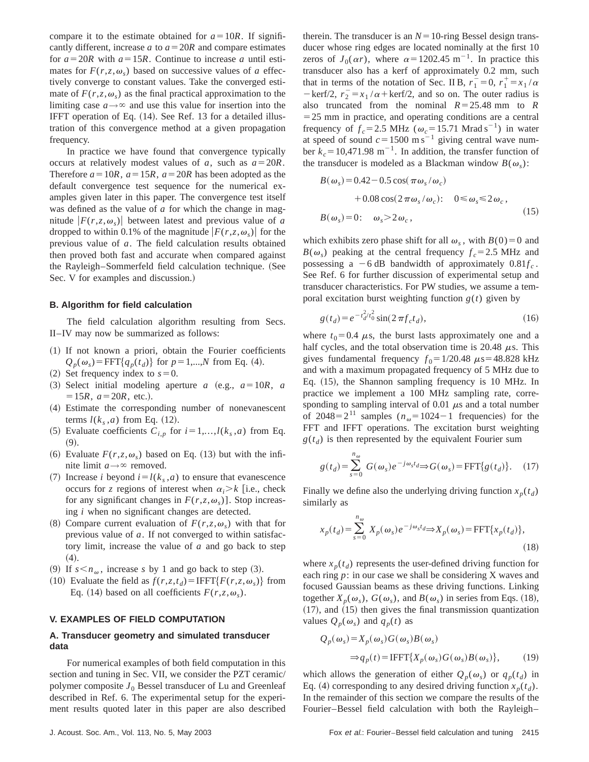compare it to the estimate obtained for  $a=10R$ . If significantly different, increase *a* to  $a = 20R$  and compare estimates for  $a=20R$  with  $a=15R$ . Continue to increase *a* until estimates for  $F(r, z, \omega_s)$  based on successive values of *a* effectively converge to constant values. Take the converged estimate of  $F(r, z, \omega_s)$  as the final practical approximation to the limiting case  $a \rightarrow \infty$  and use this value for insertion into the IFFT operation of Eq. (14). See Ref. 13 for a detailed illustration of this convergence method at a given propagation frequency.

In practice we have found that convergence typically occurs at relatively modest values of *a*, such as  $a = 20R$ . Therefore  $a=10R$ ,  $a=15R$ ,  $a=20R$  has been adopted as the default convergence test sequence for the numerical examples given later in this paper. The convergence test itself was defined as the value of *a* for which the change in magnitude  $|F(r, z, \omega_s)|$  between latest and previous value of *a* dropped to within 0.1% of the magnitude  $|F(r, z, \omega_s)|$  for the previous value of *a*. The field calculation results obtained then proved both fast and accurate when compared against the Rayleigh–Sommerfeld field calculation technique. (See Sec. V for examples and discussion.)

#### **B. Algorithm for field calculation**

The field calculation algorithm resulting from Secs. II–IV may now be summarized as follows:

- $(1)$  If not known a priori, obtain the Fourier coefficients  $Q_p(\omega_s)$ =FFT{ $q_p(t_d)$ } for  $p=1,...,N$  from Eq. (4).
- $(2)$  Set frequency index to  $s=0$ .
- $(3)$  Select initial modeling aperture *a*  $(e.g., a=10R, a)$  $=15R$ ,  $a=20R$ , etc.).
- ~4! Estimate the corresponding number of nonevanescent terms  $l(k_s, a)$  from Eq. (12).
- (5) Evaluate coefficients  $C_{i,p}$  for  $i=1,\ldots,l(k_s,a)$  from Eq.  $(9).$
- (6) Evaluate  $F(r, z, \omega_s)$  based on Eq. (13) but with the infinite limit  $a \rightarrow \infty$  removed.
- (7) Increase *i* beyond  $i = l(k_s, a)$  to ensure that evanescence occurs for *z* regions of interest when  $\alpha_i > k$  [i.e., check for any significant changes in  $F(r, z, \omega_s)$ . Stop increasing *i* when no significant changes are detected.
- (8) Compare current evaluation of  $F(r, z, \omega_s)$  with that for previous value of *a*. If not converged to within satisfactory limit, increase the value of *a* and go back to step  $(4).$
- (9) If  $s < n_{\omega}$ , increase *s* by 1 and go back to step (3).
- (10) Evaluate the field as  $f(r, z, t_d) = IFFT{F(r, z, \omega_s)}$  from Eq. (14) based on all coefficients  $F(r, z, \omega_s)$ .

#### **V. EXAMPLES OF FIELD COMPUTATION**

## **A. Transducer geometry and simulated transducer data**

For numerical examples of both field computation in this section and tuning in Sec. VII, we consider the PZT ceramic/ polymer composite  $J_0$  Bessel transducer of Lu and Greenleaf described in Ref. 6. The experimental setup for the experiment results quoted later in this paper are also described therein. The transducer is an  $N=10$ -ring Bessel design transducer whose ring edges are located nominally at the first 10 zeros of  $J_0(\alpha r)$ , where  $\alpha = 1202.45$  m<sup>-1</sup>. In practice this transducer also has a kerf of approximately 0.2 mm, such that in terms of the notation of Sec. II B,  $r_1 = 0$ ,  $r_1^+ = x_1/\alpha$  $-\ker f/2$ ,  $r_2 = x_1/\alpha + \ker f/2$ , and so on. The outer radius is also truncated from the nominal  $R=25.48$  mm to  $R$  $=$  25 mm in practice, and operating conditions are a central frequency of  $f_c$ =2.5 MHz ( $\omega_c$ =15.71 Mrad s<sup>-1</sup>) in water at speed of sound  $c=1500 \text{ m s}^{-1}$  giving central wave number  $k_c = 10,471.98 \text{ m}^{-1}$ . In addition, the transfer function of the transducer is modeled as a Blackman window  $B(\omega_s)$ :

$$
B(\omega_s) = 0.42 - 0.5 \cos(\pi \omega_s / \omega_c)
$$
  
+ 0.08 \cos(2 \pi \omega\_s / \omega\_c): 0 \le \omega\_s \le 2 \omega\_c,  

$$
B(\omega_s) = 0: \omega_s > 2 \omega_c,
$$
 (15)

which exhibits zero phase shift for all  $\omega_s$ , with  $B(0)=0$  and  $B(\omega_s)$  peaking at the central frequency  $f_c = 2.5$  MHz and possessing a  $-6$  dB bandwidth of approximately  $0.81f_c$ . See Ref. 6 for further discussion of experimental setup and transducer characteristics. For PW studies, we assume a temporal excitation burst weighting function  $g(t)$  given by

$$
g(t_d) = e^{-t_d^2/t_0^2} \sin(2\pi f_c t_d),
$$
\n(16)

where  $t_0$ =0.4  $\mu$ s, the burst lasts approximately one and a half cycles, and the total observation time is 20.48  $\mu$ s. This gives fundamental frequency  $f_0 = 1/20.48 \mu s = 48.828 \text{ kHz}$ and with a maximum propagated frequency of 5 MHz due to Eq.  $(15)$ , the Shannon sampling frequency is 10 MHz. In practice we implement a 100 MHz sampling rate, corresponding to sampling interval of 0.01  $\mu$ s and a total number of 2048= $2^{11}$  samples ( $n_{\omega}$ =1024-1 frequencies) for the FFT and IFFT operations. The excitation burst weighting  $g(t_d)$  is then represented by the equivalent Fourier sum

$$
g(t_d) = \sum_{s=0}^{n_{\omega}} G(\omega_s) e^{-j\omega_s t_d} \Rightarrow G(\omega_s) = \text{FFT}\{g(t_d)\}.
$$
 (17)

Finally we define also the underlying driving function  $x_p(t_d)$ similarly as

$$
x_p(t_d) = \sum_{s=0}^{n_{\omega}} X_p(\omega_s) e^{-j\omega_s t_d} \Rightarrow X_p(\omega_s) = \text{FFT}\{x_p(t_d)\},\tag{18}
$$

where  $x_p(t_d)$  represents the user-defined driving function for each ring *p*: in our case we shall be considering X waves and focused Gaussian beams as these driving functions. Linking together  $X_p(\omega_s)$ ,  $G(\omega_s)$ , and  $B(\omega_s)$  in series from Eqs. (18),  $(17)$ , and  $(15)$  then gives the final transmission quantization values  $Q_p(\omega_s)$  and  $q_p(t)$  as

$$
Q_p(\omega_s) = X_p(\omega_s)G(\omega_s)B(\omega_s)
$$
  
\n
$$
\Rightarrow q_p(t) = \text{IFFT}\{X_p(\omega_s)G(\omega_s)B(\omega_s)\},
$$
 (19)

which allows the generation of either  $Q_p(\omega_s)$  or  $q_p(t_d)$  in Eq. (4) corresponding to any desired driving function  $x_p(t_d)$ . In the remainder of this section we compare the results of the Fourier–Bessel field calculation with both the Rayleigh–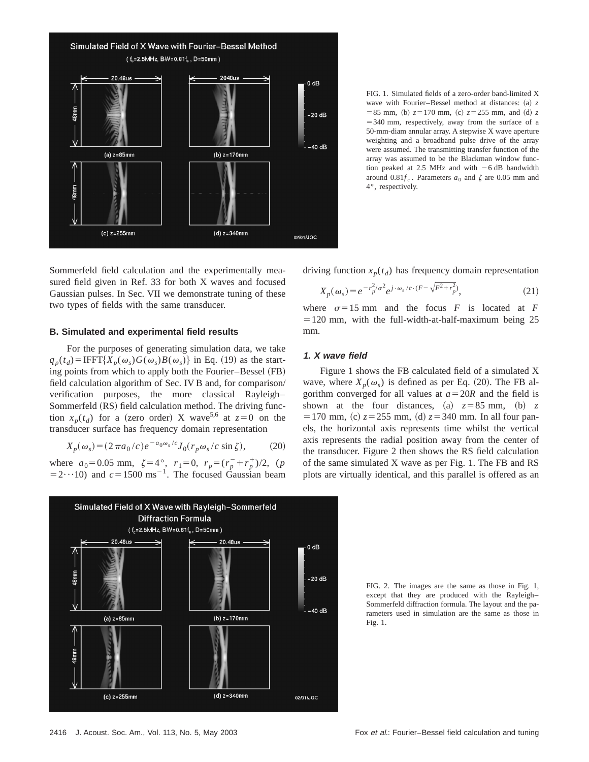

FIG. 1. Simulated fields of a zero-order band-limited X wave with Fourier–Bessel method at distances: (a) *z*  $= 85$  mm, (b)  $z = 170$  mm, (c)  $z = 255$  mm, and (d) z  $=$  340 mm, respectively, away from the surface of a 50-mm-diam annular array. A stepwise X wave aperture weighting and a broadband pulse drive of the array were assumed. The transmitting transfer function of the array was assumed to be the Blackman window function peaked at 2.5 MHz and with  $-6$  dB bandwidth around  $0.81f_c$ . Parameters  $a_0$  and  $\zeta$  are 0.05 mm and 4°, respectively.

Sommerfeld field calculation and the experimentally measured field given in Ref. 33 for both X waves and focused Gaussian pulses. In Sec. VII we demonstrate tuning of these two types of fields with the same transducer.

#### **B. Simulated and experimental field results**

For the purposes of generating simulation data, we take  $q_p(t_d) = IFFT{X_p(\omega_s)G(\omega_s)B(\omega_s)}$  in Eq. (19) as the starting points from which to apply both the Fourier–Bessel  $(FB)$ field calculation algorithm of Sec. IV B and, for comparison/ verification purposes, the more classical Rayleigh– Sommerfeld (RS) field calculation method. The driving function  $x_p(t_d)$  for a (zero order) X wave<sup>5,6</sup> at  $z=0$  on the transducer surface has frequency domain representation

$$
X_p(\omega_s) = (2\pi a_0/c)e^{-a_0\omega_s/c}J_0(r_p\omega_s/c\sin\zeta),\qquad(20)
$$

where  $a_0 = 0.05$  mm,  $\zeta = 4^\circ$ ,  $r_1 = 0$ ,  $r_p = (r_p + r_p^+) / 2$ , (*p*  $(52 \cdot \cdot \cdot 10)$  and  $c = 1500 \text{ ms}^{-1}$ . The focused Gaussian beam



driving function  $x_p(t_d)$  has frequency domain representation

$$
X_p(\omega_s) = e^{-r_p^2/\sigma^2} e^{j \cdot \omega_s/c \cdot (F - \sqrt{F^2 + r_p^2})},\tag{21}
$$

where  $\sigma = 15$  mm and the focus *F* is located at *F*  $=120$  mm, with the full-width-at-half-maximum being 25 mm.

# **1. X wave field**

Figure 1 shows the FB calculated field of a simulated X wave, where  $X_p(\omega_s)$  is defined as per Eq. (20). The FB algorithm converged for all values at  $a = 20R$  and the field is shown at the four distances, (a)  $z = 85$  mm, (b) z  $= 170$  mm, (c)  $z = 255$  mm, (d)  $z = 340$  mm. In all four panels, the horizontal axis represents time whilst the vertical axis represents the radial position away from the center of the transducer. Figure 2 then shows the RS field calculation of the same simulated X wave as per Fig. 1. The FB and RS plots are virtually identical, and this parallel is offered as an

FIG. 2. The images are the same as those in Fig. 1, except that they are produced with the Rayleigh– Sommerfeld diffraction formula. The layout and the parameters used in simulation are the same as those in Fig. 1.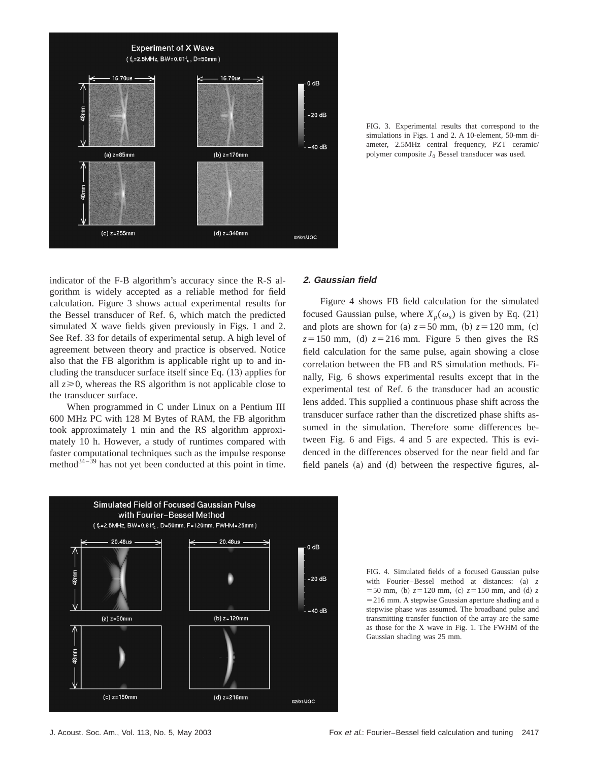

FIG. 3. Experimental results that correspond to the simulations in Figs. 1 and 2. A 10-element, 50-mm diameter, 2.5MHz central frequency, PZT ceramic/ polymer composite *J*<sup>0</sup> Bessel transducer was used.

indicator of the F-B algorithm's accuracy since the R-S algorithm is widely accepted as a reliable method for field calculation. Figure 3 shows actual experimental results for the Bessel transducer of Ref. 6, which match the predicted simulated X wave fields given previously in Figs. 1 and 2. See Ref. 33 for details of experimental setup. A high level of agreement between theory and practice is observed. Notice also that the FB algorithm is applicable right up to and including the transducer surface itself since Eq.  $(13)$  applies for all  $z \ge 0$ , whereas the RS algorithm is not applicable close to the transducer surface.

When programmed in C under Linux on a Pentium III 600 MHz PC with 128 M Bytes of RAM, the FB algorithm took approximately 1 min and the RS algorithm approximately 10 h. However, a study of runtimes compared with faster computational techniques such as the impulse response method $3^{34-\frac{39}{2}}$  has not yet been conducted at this point in time.

# **2. Gaussian field**

Figure 4 shows FB field calculation for the simulated focused Gaussian pulse, where  $X_p(\omega_s)$  is given by Eq. (21) and plots are shown for (a)  $z = 50$  mm, (b)  $z = 120$  mm, (c)  $z=150$  mm, (d)  $z=216$  mm. Figure 5 then gives the RS field calculation for the same pulse, again showing a close correlation between the FB and RS simulation methods. Finally, Fig. 6 shows experimental results except that in the experimental test of Ref. 6 the transducer had an acoustic lens added. This supplied a continuous phase shift across the transducer surface rather than the discretized phase shifts assumed in the simulation. Therefore some differences between Fig. 6 and Figs. 4 and 5 are expected. This is evidenced in the differences observed for the near field and far field panels  $(a)$  and  $(d)$  between the respective figures, al-



FIG. 4. Simulated fields of a focused Gaussian pulse with Fourier–Bessel method at distances:  $(a)$  *z*  $=$  50 mm, (b)  $z = 120$  mm, (c)  $z = 150$  mm, and (d)  $z$  $=$  216 mm. A stepwise Gaussian aperture shading and a stepwise phase was assumed. The broadband pulse and transmitting transfer function of the array are the same as those for the X wave in Fig. 1. The FWHM of the Gaussian shading was 25 mm.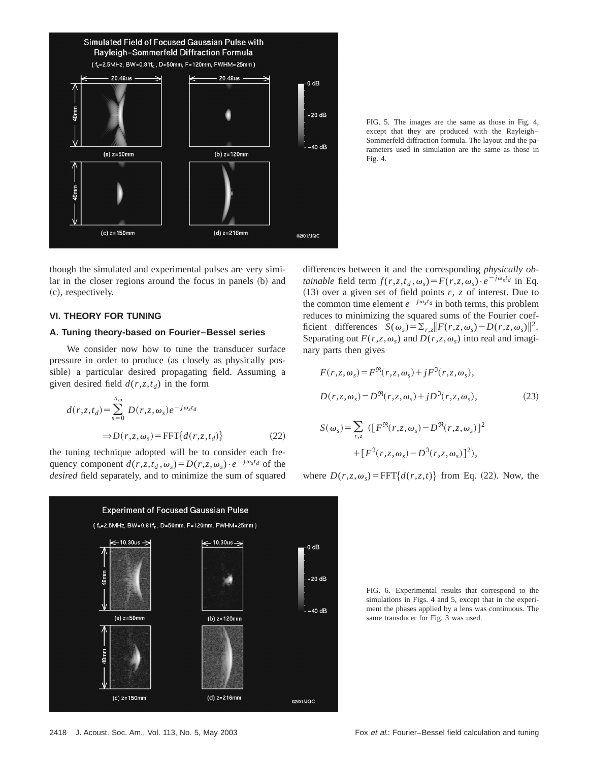

FIG. 5. The images are the same as those in Fig. 4, except that they are produced with the Rayleigh– Sommerfeld diffraction formula. The layout and the parameters used in simulation are the same as those in Fig. 4.

though the simulated and experimental pulses are very similar in the closer regions around the focus in panels (b) and  $(c)$ , respectively.

# **VI. THEORY FOR TUNING**

# **A. Tuning theory-based on Fourier–Bessel series**

We consider now how to tune the transducer surface pressure in order to produce (as closely as physically possible) a particular desired propagating field. Assuming a given desired field  $d(r, z, t_d)$  in the form

$$
d(r, z, t_d) = \sum_{s=0}^{n_{\omega}} D(r, z, \omega_s) e^{-j\omega_s t_d}
$$
  
\n
$$
\Rightarrow D(r, z, \omega_s) = \text{FFT}\{d(r, z, t_d)\}\tag{22}
$$

the tuning technique adopted will be to consider each frequency component  $d(r, z, t_d, \omega_s) = D(r, z, \omega_s) \cdot e^{-j\omega_s t_d}$  of the *desired* field separately, and to minimize the sum of squared



differences between it and the corresponding *physically obtainable* field term  $f(r, z, t_d, \omega_s) = F(r, z, \omega_s) \cdot e^{-j\omega_s t_d}$  in Eq.  $(13)$  over a given set of field points *r*, *z* of interest. Due to the common time element  $e^{-j\omega_s t_d}$  in both terms, this problem reduces to minimizing the squared sums of the Fourier coefficient differences  $S(\omega_s) = \sum_{r,s} ||F(r,z,\omega_s) - D(r,z,\omega_s)||^2$ . Separating out  $F(r, z, \omega_s)$  and  $D(r, z, \omega_s)$  into real and imaginary parts then gives

$$
F(r, z, \omega_s) = F^{\Re}(r, z, \omega_s) + jF^{\Im}(r, z, \omega_s),
$$
  
\n
$$
D(r, z, \omega_s) = D^{\Re}(r, z, \omega_s) + jD^{\Im}(r, z, \omega_s),
$$
  
\n
$$
S(\omega_s) = \sum_{r, z} ([F^{\Re}(r, z, \omega_s) - D^{\Re}(r, z, \omega_s))]^2
$$
\n(23)

where  $D(r, z, \omega_s) = \text{FFT} \{d(r, z, t)\}$  from Eq. (22). Now, the

 $+ [F^{\mathfrak{I}}(r,z,\omega_s) - D^{\mathfrak{I}}(r,z,\omega_s)]^2),$ 

FIG. 6. Experimental results that correspond to the simulations in Figs. 4 and 5, except that in the experiment the phases applied by a lens was continuous. The same transducer for Fig. 3 was used.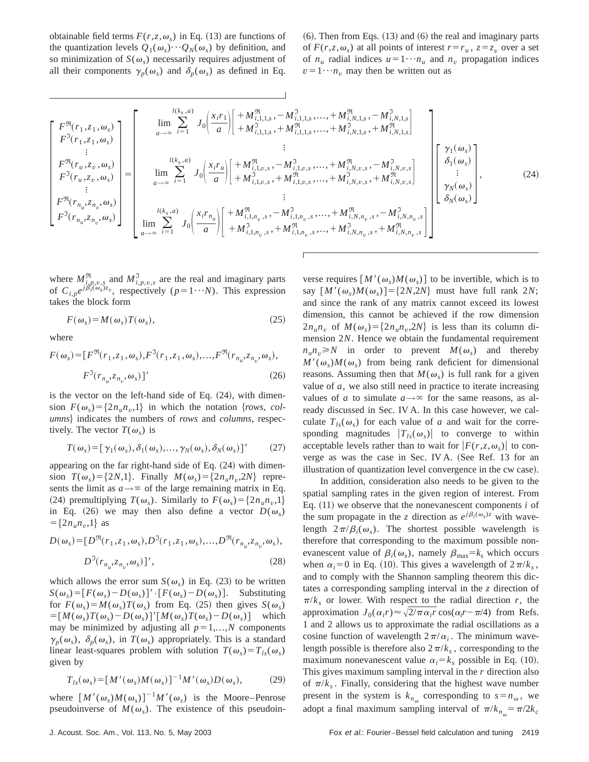obtainable field terms  $F(r, z, \omega_s)$  in Eq. (13) are functions of the quantization levels  $Q_1(\omega_s) \cdots Q_N(\omega_s)$  by definition, and so minimization of  $S(\omega_s)$  necessarily requires adjustment of all their components  $\gamma_p(\omega_s)$  and  $\delta_p(\omega_s)$  as defined in Eq.  $(6)$ . Then from Eqs.  $(13)$  and  $(6)$  the real and imaginary parts of  $F(r, z, \omega_s)$  at all points of interest  $r = r_u$ ,  $z = z_v$  over a set of  $n_u$  radial indices  $u = 1 \cdots n_u$  and  $n_v$  propagation indices  $v = 1 \cdots n_v$  may then be written out as

$$
\begin{bmatrix}\nF^{\mathfrak{R}}(r_{1},z_{1},\omega_{s}) \\
F^{\mathfrak{R}}(r_{1},z_{1},\omega_{s}) \\
F^{\mathfrak{R}}(r_{u},z_{v},\omega_{s}) \\
F^{\mathfrak{R}}(r_{u},z_{v},\omega_{s}) \\
F^{\mathfrak{R}}(r_{u},z_{v},\omega_{s}) \\
F^{\mathfrak{R}}(r_{u},z_{v},\omega_{s}) \\
F^{\mathfrak{R}}(r_{u},z_{v},\omega_{s}) \\
F^{\mathfrak{R}}(r_{u},z_{v},\omega_{s}) \\
F^{\mathfrak{R}}(r_{u},z_{v},\omega_{s}) \\
F^{\mathfrak{R}}(r_{u},z_{v},\omega_{s})\n\end{bmatrix} = \begin{bmatrix}\n\lim_{a\to\infty} \sum_{i=1}^{l(k_{s},a)} J_{0} \left( \frac{x_{i}r_{1}}{a} \right) \left[ +M_{i,1,1,s}^{\mathfrak{R}}, -M_{i,1,1,s}^{\mathfrak{R}},...,+M_{i,1,1,s}^{\mathfrak{R}},...,+M_{i,N,1,s}^{\mathfrak{R}},+M_{i,N,1,s}^{\mathfrak{R}}\right] \\
\lim_{a\to\infty} \sum_{i=1}^{l(k_{s},a)} J_{0} \left( \frac{x_{i}r_{u}}{a} \right) \left[ +M_{i,1,v,s}^{\mathfrak{R}},-M_{i,1,v,s}^{\mathfrak{R}},...,+M_{i,N,v,s}^{\mathfrak{R}},-M_{i,N,v,s}^{\mathfrak{R}}\right]\n\end{bmatrix} = \begin{bmatrix}\n\chi_{1}(\omega_{s}) \\
\lim_{a\to\infty} \sum_{i=1}^{l(k_{s},a)} J_{0} \left( \frac{x_{i}r_{u}}{a} \right) \left[ +M_{i,1,v,s}^{\mathfrak{R}},-M_{i,1,v,s}^{\mathfrak{R}},...,+M_{i,N,v,s}^{\mathfrak{R}},+,M_{i,N,v,s}^{\mathfrak{R}},-M_{i,N,v,s}^{\mathfrak{R}}\right]\n\end{bmatrix} \begin{bmatrix}\n\chi_{1}(\omega_{s}) \\
\chi_{1}(\omega_{s}) \\
\chi_{2}(\omega_{s}) \\
\chi_{2}(\omega_{s}) \\
\chi_{2}(\omega_{s})\
$$

where  $M_{i,p,\nu,s}^{\mathfrak{R}}$  and  $M_{i,p,\nu,s}^{\mathfrak{I}}$  are the real and imaginary parts of  $C_{i,p}e^{j\beta_i^t(\omega_s)z_v}$ , respectively  $(p=1\cdots N)$ . This expression takes the block form

$$
F(\omega_s) = M(\omega_s)T(\omega_s),\tag{25}
$$

where

$$
F(\omega_s) = [F^{\mathfrak{R}}(r_1, z_1, \omega_s), F^{\mathfrak{I}}(r_1, z_1, \omega_s), \dots, F^{\mathfrak{R}}(r_{n_u}, z_{n_v}, \omega_s),
$$
  

$$
F^{\mathfrak{I}}(r_{n_u}, z_{n_v}, \omega_s)]'
$$
 (26)

is the vector on the left-hand side of Eq.  $(24)$ , with dimension  $F(\omega_s) = \{2n_u n_v, 1\}$  in which the notation {*rows, columns*} indicates the numbers of *rows* and *columns*, respectively. The vector  $T(\omega_s)$  is

$$
T(\omega_s) = [\gamma_1(\omega_s), \delta_1(\omega_s), \dots, \gamma_N(\omega_s), \delta_N(\omega_s)]'
$$
 (27)

appearing on the far right-hand side of Eq.  $(24)$  with dimension  $T(\omega_s) = \{2N,1\}$ . Finally  $M(\omega_s) = \{2n_u n_v, 2N\}$  represents the limit as  $a \rightarrow \infty$  of the large remaining matrix in Eq. (24) premultiplying  $T(\omega_s)$ . Similarly to  $F(\omega_s) = \{2n_u n_v, 1\}$ in Eq. (26) we may then also define a vector  $D(\omega_s)$  $=\{2n_{u}n_{v},1\}$  as

$$
D(\omega_s) = [D^{\Re}(r_1, z_1, \omega_s), D^{\Im}(r_1, z_1, \omega_s), ..., D^{\Re}(r_{n_u}, z_{n_v}, \omega_s),
$$
  

$$
D^{\Im}(r_{n_u}, z_{n_v}, \omega_s)]',
$$
 (28)

which allows the error sum  $S(\omega_s)$  in Eq. (23) to be written  $S(\omega_s) = [F(\omega_s) - D(\omega_s)]' \cdot [F(\omega_s) - D(\omega_s)].$  Substituting for  $F(\omega_s) = M(\omega_s)T(\omega_s)$  from Eq. (25) then gives  $S(\omega_s)$  $=\left[M(\omega_s)T(\omega_s)-D(\omega_s)\right]'\left[M(\omega_s)T(\omega_s)-D(\omega_s)\right]$  which may be minimized by adjusting all  $p=1,...,N$  components  $\gamma_p(\omega_s)$ ,  $\delta_p(\omega_s)$ , in  $T(\omega_s)$  appropriately. This is a standard linear least-squares problem with solution  $T(\omega_s) = T_{ls}(\omega_s)$ given by

$$
T_{ls}(\omega_s) = [M'(\omega_s)M(\omega_s)]^{-1}M'(\omega_s)D(\omega_s),
$$
 (29)

where  $[M'(\omega_s)M(\omega_s)]^{-1}M'(\omega_s)$  is the Moore–Penrose pseudoinverse of  $M(\omega_s)$ . The existence of this pseudoinverse requires  $[M'(\omega_s)M(\omega_s)]$  to be invertible, which is to say  $[M'(\omega_s)M(\omega_s)]=\{2N,2N\}$  must have full rank 2*N*; and since the rank of any matrix cannot exceed its lowest dimension, this cannot be achieved if the row dimension  $2n_{u}n_{v}$  of  $M(\omega_{s}) = \{2n_{u}n_{v}, 2N\}$  is less than its column dimension 2*N*. Hence we obtain the fundamental requirement  $n_{y}n_{y} \geq N$  in order to prevent  $M(\omega_{s})$  and thereby  $M'(\omega_s)M(\omega_s)$  from being rank deficient for dimensional reasons. Assuming then that  $M(\omega_s)$  is full rank for a given value of *a*, we also still need in practice to iterate increasing values of *a* to simulate  $a \rightarrow \infty$  for the same reasons, as already discussed in Sec. IV A. In this case however, we calculate  $T_{ls}(\omega_s)$  for each value of *a* and wait for the corresponding magnitudes  $|T_{ls}(\omega_s)|$  to converge to within acceptable levels rather than to wait for  $|F(r, z, \omega_s)|$  to converge as was the case in Sec. IV A. (See Ref. 13 for an illustration of quantization level convergence in the cw case).

In addition, consideration also needs to be given to the spatial sampling rates in the given region of interest. From Eq.  $(11)$  we observe that the nonevanescent components *i* of the sum propagate in the *z* direction as  $e^{j\beta_i(\omega_s)z}$  with wavelength  $2\pi/\beta_i(\omega_s)$ . The shortest possible wavelength is therefore that corresponding to the maximum possible nonevanescent value of  $\beta_i(\omega_s)$ , namely  $\beta_{\text{max}}=k_s$  which occurs when  $\alpha_i=0$  in Eq. (10). This gives a wavelength of  $2\pi/k_s$ , and to comply with the Shannon sampling theorem this dictates a corresponding sampling interval in the *z* direction of  $\pi/k_s$  or lower. With respect to the radial direction *r*, the approximation  $J_0(\alpha_i r) \approx \sqrt{2/\pi \alpha_i r} \cos(\alpha_i r - \pi/4)$  from Refs. 1 and 2 allows us to approximate the radial oscillations as a cosine function of wavelength  $2\pi/\alpha_i$ . The minimum wavelength possible is therefore also  $2\pi/k_s$ , corresponding to the maximum nonevanescent value  $\alpha_i = k_s$  possible in Eq. (10). This gives maximum sampling interval in the *r* direction also of  $\pi/k_s$ . Finally, considering that the highest wave number present in the system is  $k_{n_{\omega}}$  corresponding to  $s=n_{\omega}$ , we adopt a final maximum sampling interval of  $\pi/k_{n_{\omega}} = \pi/2k_c$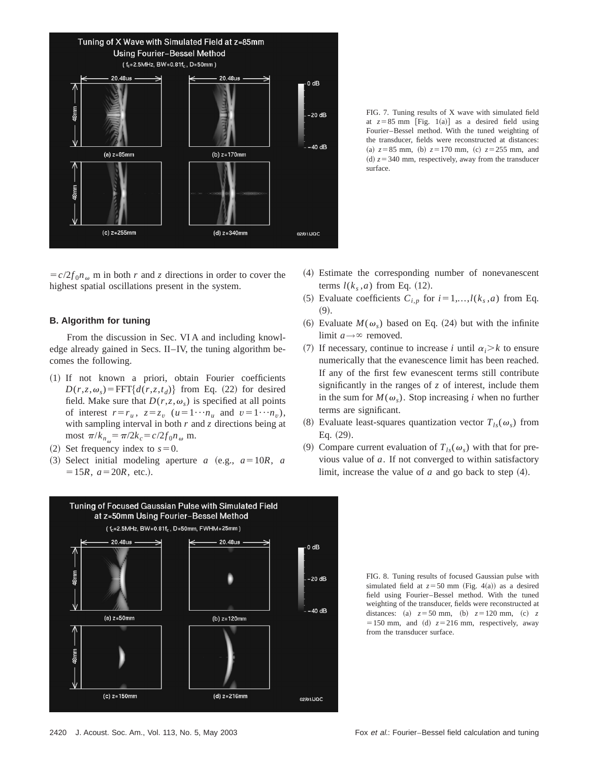

FIG. 7. Tuning results of X wave with simulated field at  $z=85$  mm [Fig. 1(a)] as a desired field using Fourier–Bessel method. With the tuned weighting of the transducer, fields were reconstructed at distances: (a)  $z = 85$  mm, (b)  $z = 170$  mm, (c)  $z = 255$  mm, and (d)  $z = 340$  mm, respectively, away from the transducer surface.

 $= c/2 f_0 n_\omega$  m in both *r* and *z* directions in order to cover the highest spatial oscillations present in the system.

## **B. Algorithm for tuning**

From the discussion in Sec. VI A and including knowledge already gained in Secs. II–IV, the tuning algorithm becomes the following.

- ~1! If not known a priori, obtain Fourier coefficients  $D(r, z, \omega_s)$ =FFT{ $d(r, z, t_d)$ } from Eq. (22) for desired field. Make sure that  $D(r, z, \omega_s)$  is specified at all points of interest  $r=r_u$ ,  $z=z_v$  ( $u=1\cdots n_u$  and  $v=1\cdots n_v$ ), with sampling interval in both *r* and *z* directions being at most  $\pi/k_{n_{\omega}} = \pi/2k_c = c/2f_0n_{\omega}$  m.
- (2) Set frequency index to  $s=0$ .
- $(3)$  Select initial modeling aperture *a*  $(e.g., a=10R, a)$  $=15R$ ,  $a=20R$ , etc.).



- ~4! Estimate the corresponding number of nonevanescent terms  $l(k<sub>s</sub>, a)$  from Eq. (12).
- (5) Evaluate coefficients  $C_{i,p}$  for  $i=1,...,l(k_s, a)$  from Eq.  $(9).$
- (6) Evaluate  $M(\omega_s)$  based on Eq. (24) but with the infinite limit  $a \rightarrow \infty$  removed.
- (7) If necessary, continue to increase *i* until  $\alpha_i > k$  to ensure numerically that the evanescence limit has been reached. If any of the first few evanescent terms still contribute significantly in the ranges of *z* of interest, include them in the sum for  $M(\omega_s)$ . Stop increasing *i* when no further terms are significant.
- (8) Evaluate least-squares quantization vector  $T_{ls}(\omega_s)$  from Eq.  $(29)$ .
- (9) Compare current evaluation of  $T_{ls}(\omega_s)$  with that for previous value of *a*. If not converged to within satisfactory limit, increase the value of  $a$  and go back to step  $(4)$ .

FIG. 8. Tuning results of focused Gaussian pulse with simulated field at  $z=50$  mm (Fig. 4(a)) as a desired field using Fourier–Bessel method. With the tuned weighting of the transducer, fields were reconstructed at distances: (a)  $z = 50$  mm, (b)  $z = 120$  mm, (c) z  $=150$  mm, and (d)  $z=216$  mm, respectively, away from the transducer surface.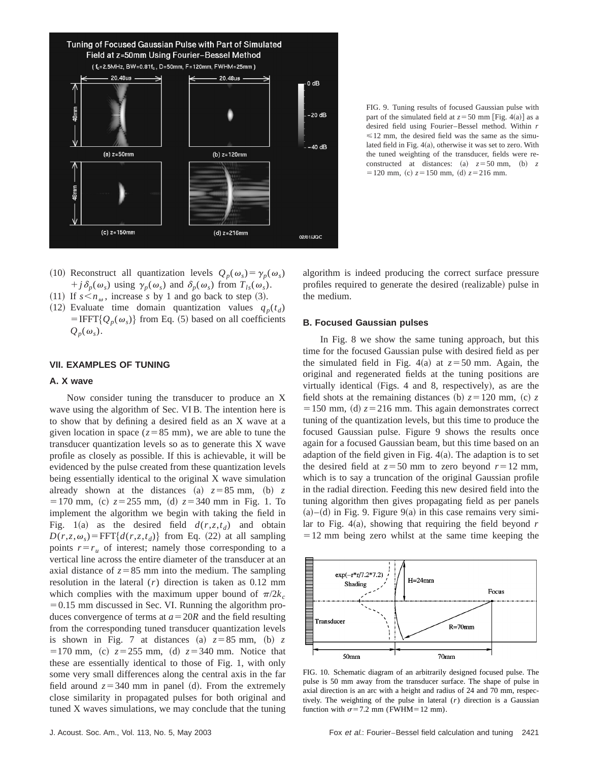

FIG. 9. Tuning results of focused Gaussian pulse with part of the simulated field at  $z = 50$  mm [Fig. 4(a)] as a desired field using Fourier–Bessel method. Within *r*  $\leq 12$  mm, the desired field was the same as the simulated field in Fig.  $4(a)$ , otherwise it was set to zero. With the tuned weighting of the transducer, fields were reconstructed at distances: (a)  $z = 50$  mm, (b) z  $=120$  mm, (c)  $z=150$  mm, (d)  $z=216$  mm.

- (10) Reconstruct all quantization levels  $Q_p(\omega_s) = \gamma_p(\omega_s)$ +  $j\delta_p(\omega_s)$  using  $\gamma_p(\omega_s)$  and  $\delta_p(\omega_s)$  from  $T_{ls}(\omega_s)$ .
- (11) If  $s < n_{\omega}$ , increase *s* by 1 and go back to step (3).
- (12) Evaluate time domain quantization values  $q_p(t_d)$  $=$  IFFT{ $Q_p(\omega_s)$ } from Eq. (5) based on all coefficients  $Q_p(\omega_s)$ .

# **VII. EXAMPLES OF TUNING**

# **A. X wave**

Now consider tuning the transducer to produce an X wave using the algorithm of Sec. VI B. The intention here is to show that by defining a desired field as an X wave at a given location in space ( $z=85$  mm), we are able to tune the transducer quantization levels so as to generate this X wave profile as closely as possible. If this is achievable, it will be evidenced by the pulse created from these quantization levels being essentially identical to the original X wave simulation already shown at the distances (a)  $z = 85$  mm, (b) z  $= 170$  mm, (c)  $z = 255$  mm, (d)  $z = 340$  mm in Fig. 1. To implement the algorithm we begin with taking the field in Fig. 1(a) as the desired field  $d(r, z, t_d)$  and obtain  $D(r, z, \omega_s)$  = FFT $\{d(r, z, t_d)\}$  from Eq. (22) at all sampling points  $r=r_u$  of interest; namely those corresponding to a vertical line across the entire diameter of the transducer at an axial distance of  $z = 85$  mm into the medium. The sampling resolution in the lateral (*r*) direction is taken as 0.12 mm which complies with the maximum upper bound of  $\pi/2k_c$  $=0.15$  mm discussed in Sec. VI. Running the algorithm produces convergence of terms at  $a = 20R$  and the field resulting from the corresponding tuned transducer quantization levels is shown in Fig. 7 at distances (a)  $z = 85$  mm, (b) z  $=170$  mm, (c)  $z = 255$  mm, (d)  $z = 340$  mm. Notice that these are essentially identical to those of Fig. 1, with only some very small differences along the central axis in the far field around  $z = 340$  mm in panel (d). From the extremely close similarity in propagated pulses for both original and tuned X waves simulations, we may conclude that the tuning algorithm is indeed producing the correct surface pressure profiles required to generate the desired (realizable) pulse in the medium.

#### **B. Focused Gaussian pulses**

In Fig. 8 we show the same tuning approach, but this time for the focused Gaussian pulse with desired field as per the simulated field in Fig.  $4(a)$  at  $z=50$  mm. Again, the original and regenerated fields at the tuning positions are virtually identical (Figs. 4 and 8, respectively), as are the field shots at the remaining distances (b)  $z = 120$  mm, (c)  $z = 120$  $=150$  mm, (d)  $z=216$  mm. This again demonstrates correct tuning of the quantization levels, but this time to produce the focused Gaussian pulse. Figure 9 shows the results once again for a focused Gaussian beam, but this time based on an adaption of the field given in Fig.  $4(a)$ . The adaption is to set the desired field at  $z = 50$  mm to zero beyond  $r = 12$  mm, which is to say a truncation of the original Gaussian profile in the radial direction. Feeding this new desired field into the tuning algorithm then gives propagating field as per panels  $(a)$ – $(d)$  in Fig. 9. Figure 9 $(a)$  in this case remains very similar to Fig.  $4(a)$ , showing that requiring the field beyond *r*  $=12$  mm being zero whilst at the same time keeping the



FIG. 10. Schematic diagram of an arbitrarily designed focused pulse. The pulse is 50 mm away from the transducer surface. The shape of pulse in axial direction is an arc with a height and radius of 24 and 70 mm, respectively. The weighting of the pulse in lateral (*r*) direction is a Gaussian function with  $\sigma$ =7.2 mm (FWHM=12 mm).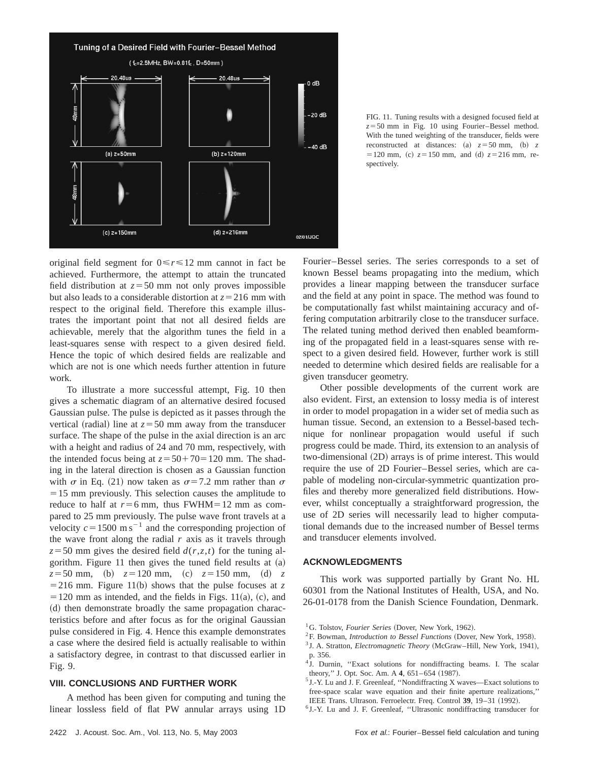

FIG. 11. Tuning results with a designed focused field at  $z = 50$  mm in Fig. 10 using Fourier–Bessel method. With the tuned weighting of the transducer, fields were reconstructed at distances: (a)  $z = 50$  mm, (b) z  $= 120$  mm, (c)  $z = 150$  mm, and (d)  $z = 216$  mm, respectively.

original field segment for  $0 \le r \le 12$  mm cannot in fact be achieved. Furthermore, the attempt to attain the truncated field distribution at  $z = 50$  mm not only proves impossible but also leads to a considerable distortion at  $z = 216$  mm with respect to the original field. Therefore this example illustrates the important point that not all desired fields are achievable, merely that the algorithm tunes the field in a least-squares sense with respect to a given desired field. Hence the topic of which desired fields are realizable and which are not is one which needs further attention in future work.

To illustrate a more successful attempt, Fig. 10 then gives a schematic diagram of an alternative desired focused Gaussian pulse. The pulse is depicted as it passes through the vertical (radial) line at  $z = 50$  mm away from the transducer surface. The shape of the pulse in the axial direction is an arc with a height and radius of 24 and 70 mm, respectively, with the intended focus being at  $z = 50 + 70 = 120$  mm. The shading in the lateral direction is chosen as a Gaussian function with  $\sigma$  in Eq. (21) now taken as  $\sigma$ =7.2 mm rather than  $\sigma$  $=15$  mm previously. This selection causes the amplitude to reduce to half at  $r=6$  mm, thus FWHM=12 mm as compared to 25 mm previously. The pulse wave front travels at a velocity  $c=1500 \text{ m s}^{-1}$  and the corresponding projection of the wave front along the radial  $r$  axis as it travels through  $z = 50$  mm gives the desired field  $d(r, z, t)$  for the tuning algorithm. Figure 11 then gives the tuned field results at  $(a)$  $z = 50$  mm, (b)  $z = 120$  mm, (c)  $z = 150$  mm, (d) z  $=$  216 mm. Figure 11(b) shows that the pulse focuses at *z*  $= 120$  mm as intended, and the fields in Figs. 11(a), (c), and (d) then demonstrate broadly the same propagation characteristics before and after focus as for the original Gaussian pulse considered in Fig. 4. Hence this example demonstrates a case where the desired field is actually realisable to within a satisfactory degree, in contrast to that discussed earlier in Fig. 9.

#### **VIII. CONCLUSIONS AND FURTHER WORK**

A method has been given for computing and tuning the linear lossless field of flat PW annular arrays using 1D Fourier–Bessel series. The series corresponds to a set of known Bessel beams propagating into the medium, which provides a linear mapping between the transducer surface and the field at any point in space. The method was found to be computationally fast whilst maintaining accuracy and offering computation arbitrarily close to the transducer surface. The related tuning method derived then enabled beamforming of the propagated field in a least-squares sense with respect to a given desired field. However, further work is still needed to determine which desired fields are realisable for a given transducer geometry.

Other possible developments of the current work are also evident. First, an extension to lossy media is of interest in order to model propagation in a wider set of media such as human tissue. Second, an extension to a Bessel-based technique for nonlinear propagation would useful if such progress could be made. Third, its extension to an analysis of  $two$ -dimensional  $(2D)$  arrays is of prime interest. This would require the use of 2D Fourier–Bessel series, which are capable of modeling non-circular-symmetric quantization profiles and thereby more generalized field distributions. However, whilst conceptually a straightforward progression, the use of 2D series will necessarily lead to higher computational demands due to the increased number of Bessel terms and transducer elements involved.

# **ACKNOWLEDGMENTS**

This work was supported partially by Grant No. HL 60301 from the National Institutes of Health, USA, and No. 26-01-0178 from the Danish Science Foundation, Denmark.

- <sup>1</sup>G. Tolstov, *Fourier Series* (Dover, New York, 1962).
- <sup>2</sup>F. Bowman, *Introduction to Bessel Functions* (Dover, New York, 1958).
- <sup>3</sup> J. A. Stratton, *Electromagnetic Theory* (McGraw–Hill, New York, 1941), p. 356.
- <sup>1</sup> J. Durnin, "Exact solutions for nondiffracting beams. I. The scalar theory," J. Opt. Soc. Am. A 4, 651–654 (1987).
- <sup>5</sup> J.-Y. Lu and J. F. Greenleaf, ''Nondiffracting X waves—Exact solutions to free-space scalar wave equation and their finite aperture realizations,'' IEEE Trans. Ultrason. Ferroelectr. Freq. Control 39, 19-31 (1992).
- <sup>6</sup> J.-Y. Lu and J. F. Greenleaf, ''Ultrasonic nondiffracting transducer for